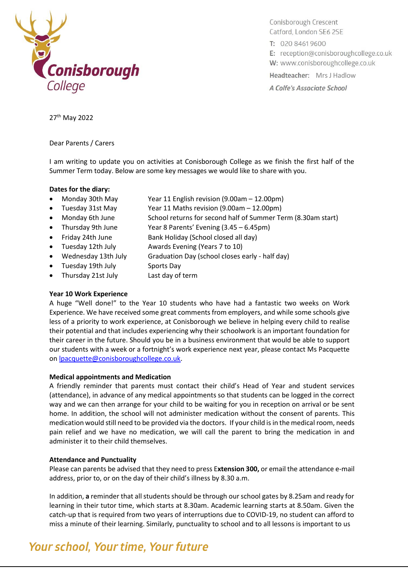

Conisborough Crescent Catford, London SE6 2SE

T: 020 8461 9600

E: reception@conisboroughcollege.co.uk

W: www.conisboroughcollege.co.uk

Headteacher: Mrs J Hadlow

A Colfe's Associate School

27th May 2022

Dear Parents / Carers

I am writing to update you on activities at Conisborough College as we finish the first half of the Summer Term today. Below are some key messages we would like to share with you.

### **Dates for the diary:**

- Monday 30th May Year 11 English revision (9.00am 12.00pm)
- Tuesday 31st May Year 11 Maths revision (9.00am 12.00pm)
- Monday 6th June School returns for second half of Summer Term (8.30am start)
- Thursday 9th June Year 8 Parents' Evening (3.45 6.45pm)
- Friday 24th June Bank Holiday (School closed all day)
- Tuesday 12th July Awards Evening (Years 7 to 10)
- Wednesday 13th July Graduation Day (school closes early half day)
- Tuesday 19th July Sports Day
- Thursday 21st July Last day of term

### **Year 10 Work Experience**

A huge "Well done!" to the Year 10 students who have had a fantastic two weeks on Work Experience. We have received some great comments from employers, and while some schools give less of a priority to work experience, at Conisborough we believe in helping every child to realise their potential and that includes experiencing why their schoolwork is an important foundation for their career in the future. Should you be in a business environment that would be able to support our students with a week or a fortnight's work experience next year, please contact Ms Pacquette on [lpacquette@conisboroughcollege.co.uk.](mailto:lpacquette@conisboroughcollege.co.uk)

### **Medical appointments and Medication**

A friendly reminder that parents must contact their child's Head of Year and student services (attendance), in advance of any medical appointments so that students can be logged in the correct way and we can then arrange for your child to be waiting for you in reception on arrival or be sent home. In addition, the school will not administer medication without the consent of parents. This medication would still need to be provided via the doctors. If your child is in the medical room, needs pain relief and we have no medication, we will call the parent to bring the medication in and administer it to their child themselves.

### **Attendance and Punctuality**

Please can parents be advised that they need to press E**xtension 300,** or email the attendance e-mail address, prior to, or on the day of their child's illness by 8.30 a.m.

In addition, **a** reminder that all students should be through our school gates by 8.25am and ready for learning in their tutor time, which starts at 8.30am. Academic learning starts at 8.50am. Given the catch-up that is required from two years of interruptions due to COVID-19, no student can afford to miss a minute of their learning. Similarly, punctuality to school and to all lessons is important to us

### Your school, Your time, Your future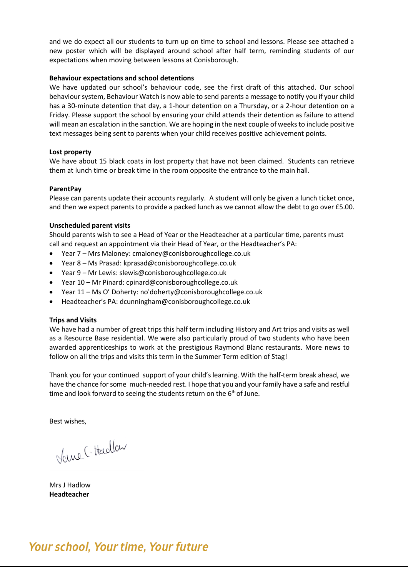and we do expect all our students to turn up on time to school and lessons. Please see attached a new poster which will be displayed around school after half term, reminding students of our expectations when moving between lessons at Conisborough.

### **Behaviour expectations and school detentions**

We have updated our school's behaviour code, see the first draft of this attached. Our school behaviour system, Behaviour Watch is now able to send parents a message to notify you if your child has a 30-minute detention that day, a 1-hour detention on a Thursday, or a 2-hour detention on a Friday. Please support the school by ensuring your child attends their detention as failure to attend will mean an escalation in the sanction. We are hoping in the next couple of weeks to include positive text messages being sent to parents when your child receives positive achievement points.

### **Lost property**

We have about 15 black coats in lost property that have not been claimed. Students can retrieve them at lunch time or break time in the room opposite the entrance to the main hall.

### **ParentPay**

Please can parents update their accounts regularly. A student will only be given a lunch ticket once, and then we expect parents to provide a packed lunch as we cannot allow the debt to go over £5.00.

### **Unscheduled parent visits**

Should parents wish to see a Head of Year or the Headteacher at a particular time, parents must call and request an appointment via their Head of Year, or the Headteacher's PA:

- Year 7 Mrs Maloney: cmaloney@conisboroughcollege.co.uk
- Year 8 Ms Prasad: kprasad@conisboroughcollege.co.uk
- Year 9 Mr Lewis: slewis@conisboroughcollege.co.uk
- Year 10 Mr Pinard: cpinard@conisboroughcollege.co.uk
- Year 11 Ms O' Doherty: no'doherty@conisboroughcollege.co.uk
- Headteacher's PA: dcunningham@conisboroughcollege.co.uk

### **Trips and Visits**

We have had a number of great trips this half term including History and Art trips and visits as well as a Resource Base residential. We were also particularly proud of two students who have been awarded apprenticeships to work at the prestigious Raymond Blanc restaurants. More news to follow on all the trips and visits this term in the Summer Term edition of Stag!

Thank you for your continued support of your child's learning. With the half-term break ahead, we have the chance for some much-needed rest. I hope that you and your family have a safe and restful time and look forward to seeing the students return on the 6<sup>th</sup> of June.

Best wishes,

Vane (. Hadlow

Mrs J Hadlow **Headteacher**

### Your school, Your time, Your future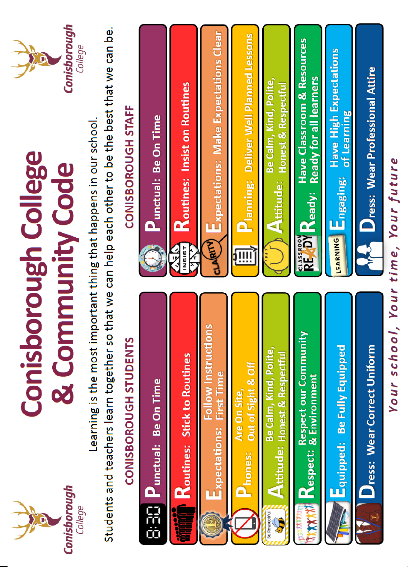

## **Conisborough College** & Community Code



Learning is the most important thing that happens in our school.

Students and teachers learn together so that we can help each other to be the best that we can be.

# CONISBOROUGH STUDENTS



Your school, Your time, Your future